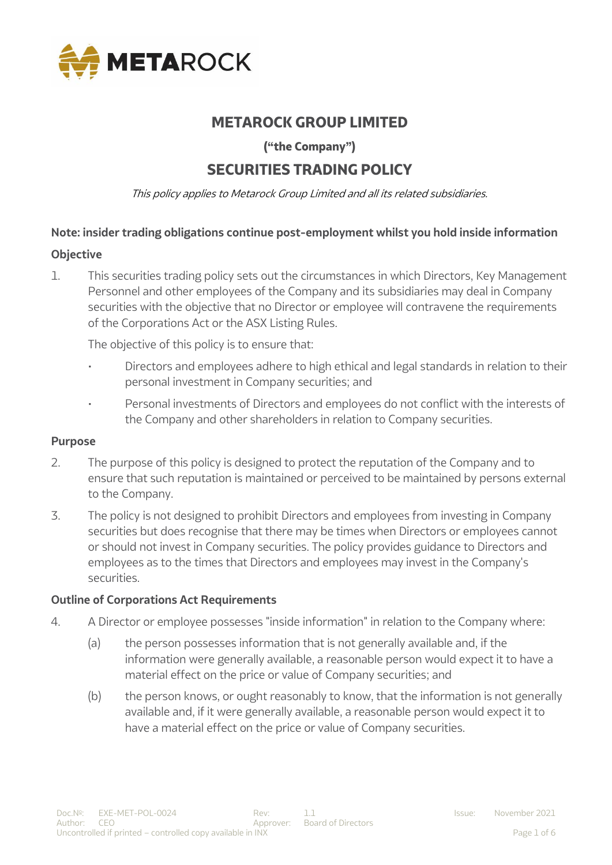

# **METAROCK GROUP LIMITED**

**("the Company")**

# **SECURITIES TRADING POLICY**

This policy applies to Metarock Group Limited and all its related subsidiaries.

## **Note: insider trading obligations continue post-employment whilst you hold inside information**

## **Objective**

1. This securities trading policy sets out the circumstances in which Directors, Key Management Personnel and other employees of the Company and its subsidiaries may deal in Company securities with the objective that no Director or employee will contravene the requirements of the Corporations Act or the ASX Listing Rules.

The objective of this policy is to ensure that:

- Directors and employees adhere to high ethical and legal standards in relation to their personal investment in Company securities; and
- Personal investments of Directors and employees do not conflict with the interests of the Company and other shareholders in relation to Company securities.

#### **Purpose**

- 2. The purpose of this policy is designed to protect the reputation of the Company and to ensure that such reputation is maintained or perceived to be maintained by persons external to the Company.
- 3. The policy is not designed to prohibit Directors and employees from investing in Company securities but does recognise that there may be times when Directors or employees cannot or should not invest in Company securities. The policy provides guidance to Directors and employees as to the times that Directors and employees may invest in the Company's securities.

## **Outline of Corporations Act Requirements**

- 4. A Director or employee possesses "inside information" in relation to the Company where:
	- (a) the person possesses information that is not generally available and, if the information were generally available, a reasonable person would expect it to have a material effect on the price or value of Company securities; and
	- (b) the person knows, or ought reasonably to know, that the information is not generally available and, if it were generally available, a reasonable person would expect it to have a material effect on the price or value of Company securities.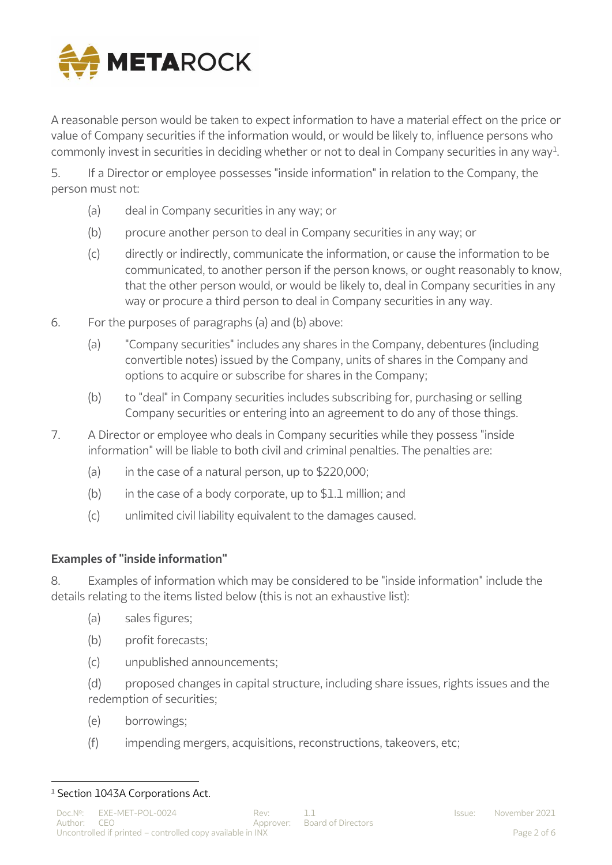

A reasonable person would be taken to expect information to have a material effect on the price or value of Company securities if the information would, or would be likely to, influence persons who commonly invest in securities in deciding whether or not to deal in Company securities in any way $^1$ .

5. If a Director or employee possesses "inside information" in relation to the Company, the person must not:

- (a) deal in Company securities in any way; or
- (b) procure another person to deal in Company securities in any way; or
- (c) directly or indirectly, communicate the information, or cause the information to be communicated, to another person if the person knows, or ought reasonably to know, that the other person would, or would be likely to, deal in Company securities in any way or procure a third person to deal in Company securities in any way.
- 6. For the purposes of paragraphs (a) and (b) above:
	- (a) "Company securities" includes any shares in the Company, debentures (including convertible notes) issued by the Company, units of shares in the Company and options to acquire or subscribe for shares in the Company;
	- (b) to "deal" in Company securities includes subscribing for, purchasing or selling Company securities or entering into an agreement to do any of those things.
- 7. A Director or employee who deals in Company securities while they possess "inside information" will be liable to both civil and criminal penalties. The penalties are:
	- (a) in the case of a natural person, up to  $$220,000$ :
	- (b) in the case of a body corporate, up to  $$1.1$  million; and
	- (c) unlimited civil liability equivalent to the damages caused.

## **Examples of "inside information"**

8. Examples of information which may be considered to be "inside information" include the details relating to the items listed below (this is not an exhaustive list):

- (a) sales figures;
- (b) profit forecasts;
- (c) unpublished announcements;
- (d) proposed changes in capital structure, including share issues, rights issues and the redemption of securities;
- (e) borrowings;
- (f) impending mergers, acquisitions, reconstructions, takeovers, etc;

 $\overline{a}$ 

<sup>&</sup>lt;sup>1</sup> Section 1043A Corporations Act.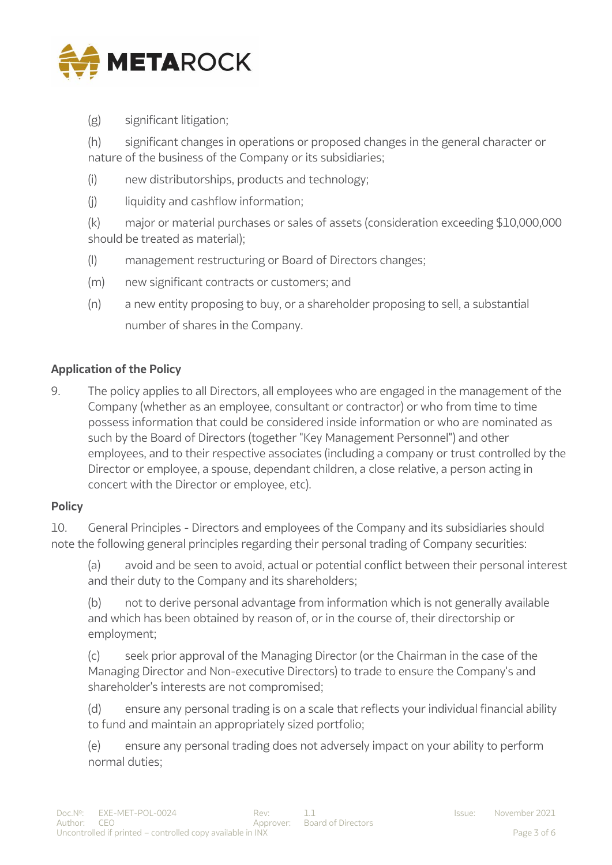

(g) significant litigation;

(h) significant changes in operations or proposed changes in the general character or nature of the business of the Company or its subsidiaries;

- (i) new distributorships, products and technology;
- (i) liquidity and cashflow information;

(k) major or material purchases or sales of assets (consideration exceeding \$10,000,000 should be treated as material);

- (l) management restructuring or Board of Directors changes;
- (m) new significant contracts or customers; and
- (n) a new entity proposing to buy, or a shareholder proposing to sell, a substantial number of shares in the Company.

## **Application of the Policy**

9. The policy applies to all Directors, all employees who are engaged in the management of the Company (whether as an employee, consultant or contractor) or who from time to time possess information that could be considered inside information or who are nominated as such by the Board of Directors (together "Key Management Personnel") and other employees, and to their respective associates (including a company or trust controlled by the Director or employee, a spouse, dependant children, a close relative, a person acting in concert with the Director or employee, etc).

## **Policy**

10. General Principles - Directors and employees of the Company and its subsidiaries should note the following general principles regarding their personal trading of Company securities:

(a) avoid and be seen to avoid, actual or potential conflict between their personal interest and their duty to the Company and its shareholders;

(b) not to derive personal advantage from information which is not generally available and which has been obtained by reason of, or in the course of, their directorship or employment;

(c) seek prior approval of the Managing Director (or the Chairman in the case of the Managing Director and Non-executive Directors) to trade to ensure the Company's and shareholder's interests are not compromised;

(d) ensure any personal trading is on a scale that reflects your individual financial ability to fund and maintain an appropriately sized portfolio;

(e) ensure any personal trading does not adversely impact on your ability to perform normal duties;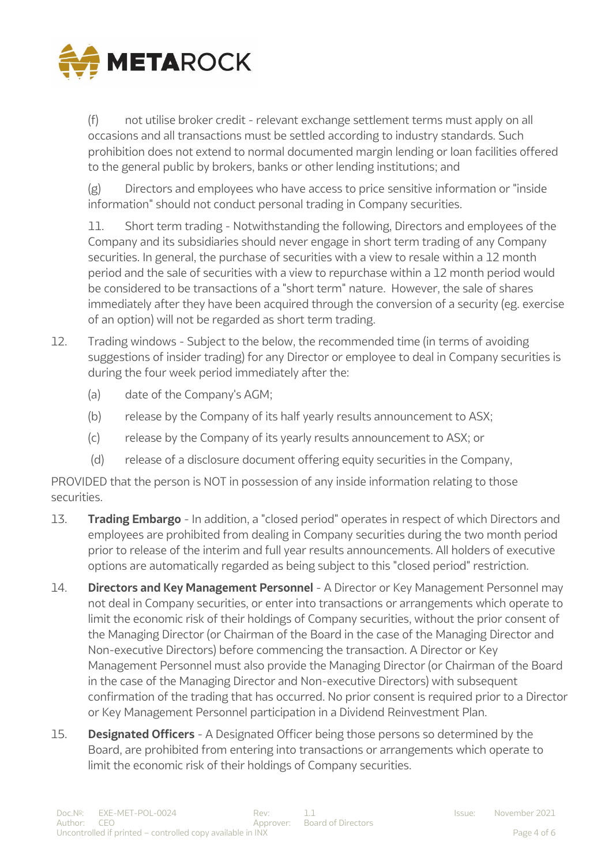

(f) not utilise broker credit - relevant exchange settlement terms must apply on all occasions and all transactions must be settled according to industry standards. Such prohibition does not extend to normal documented margin lending or loan facilities offered to the general public by brokers, banks or other lending institutions; and

(g) Directors and employees who have access to price sensitive information or "inside information" should not conduct personal trading in Company securities.

11. Short term trading - Notwithstanding the following, Directors and employees of the Company and its subsidiaries should never engage in short term trading of any Company securities. In general, the purchase of securities with a view to resale within a 12 month period and the sale of securities with a view to repurchase within a 12 month period would be considered to be transactions of a "short term" nature. However, the sale of shares immediately after they have been acquired through the conversion of a security (eg. exercise of an option) will not be regarded as short term trading.

- 12. Trading windows Subject to the below, the recommended time (in terms of avoiding suggestions of insider trading) for any Director or employee to deal in Company securities is during the four week period immediately after the:
	- (a) date of the Company's AGM;
	- (b) release by the Company of its half yearly results announcement to ASX;
	- (c) release by the Company of its yearly results announcement to ASX; or
	- (d) release of a disclosure document offering equity securities in the Company,

PROVIDED that the person is NOT in possession of any inside information relating to those securities.

- 13. **Trading Embargo** In addition, a "closed period" operates in respect of which Directors and employees are prohibited from dealing in Company securities during the two month period prior to release of the interim and full year results announcements. All holders of executive options are automatically regarded as being subject to this "closed period" restriction.
- 14. **Directors and Key Management Personnel** A Director or Key Management Personnel may not deal in Company securities, or enter into transactions or arrangements which operate to limit the economic risk of their holdings of Company securities, without the prior consent of the Managing Director (or Chairman of the Board in the case of the Managing Director and Non-executive Directors) before commencing the transaction. A Director or Key Management Personnel must also provide the Managing Director (or Chairman of the Board in the case of the Managing Director and Non-executive Directors) with subsequent confirmation of the trading that has occurred. No prior consent is required prior to a Director or Key Management Personnel participation in a Dividend Reinvestment Plan.
- 15. **Designated Officers** A Designated Officer being those persons so determined by the Board, are prohibited from entering into transactions or arrangements which operate to limit the economic risk of their holdings of Company securities.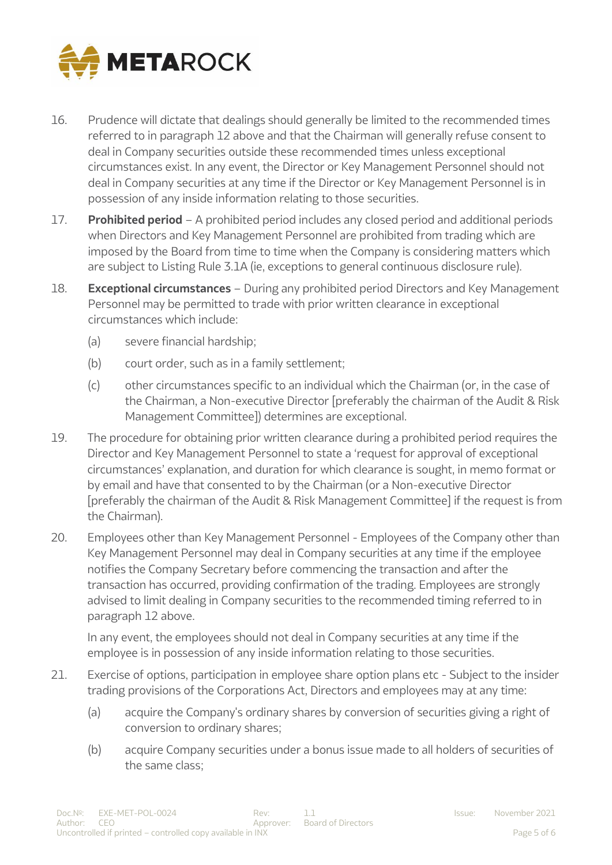

- 16. Prudence will dictate that dealings should generally be limited to the recommended times referred to in paragraph 12 above and that the Chairman will generally refuse consent to deal in Company securities outside these recommended times unless exceptional circumstances exist. In any event, the Director or Key Management Personnel should not deal in Company securities at any time if the Director or Key Management Personnel is in possession of any inside information relating to those securities.
- 17. **Prohibited period** A prohibited period includes any closed period and additional periods when Directors and Key Management Personnel are prohibited from trading which are imposed by the Board from time to time when the Company is considering matters which are subject to Listing Rule 3.1A (ie, exceptions to general continuous disclosure rule).
- 18. **Exceptional circumstances** During any prohibited period Directors and Key Management Personnel may be permitted to trade with prior written clearance in exceptional circumstances which include:
	- (a) severe financial hardship;
	- (b) court order, such as in a family settlement;
	- (c) other circumstances specific to an individual which the Chairman (or, in the case of the Chairman, a Non-executive Director [preferably the chairman of the Audit & Risk Management Committee]) determines are exceptional.
- 19. The procedure for obtaining prior written clearance during a prohibited period requires the Director and Key Management Personnel to state a 'request for approval of exceptional circumstances' explanation, and duration for which clearance is sought, in memo format or by email and have that consented to by the Chairman (or a Non-executive Director [preferably the chairman of the Audit & Risk Management Committee] if the request is from the Chairman).
- 20. Employees other than Key Management Personnel Employees of the Company other than Key Management Personnel may deal in Company securities at any time if the employee notifies the Company Secretary before commencing the transaction and after the transaction has occurred, providing confirmation of the trading. Employees are strongly advised to limit dealing in Company securities to the recommended timing referred to in paragraph 12 above.

In any event, the employees should not deal in Company securities at any time if the employee is in possession of any inside information relating to those securities.

- 21. Exercise of options, participation in employee share option plans etc Subject to the insider trading provisions of the Corporations Act, Directors and employees may at any time:
	- (a) acquire the Company's ordinary shares by conversion of securities giving a right of conversion to ordinary shares;
	- (b) acquire Company securities under a bonus issue made to all holders of securities of the same class;